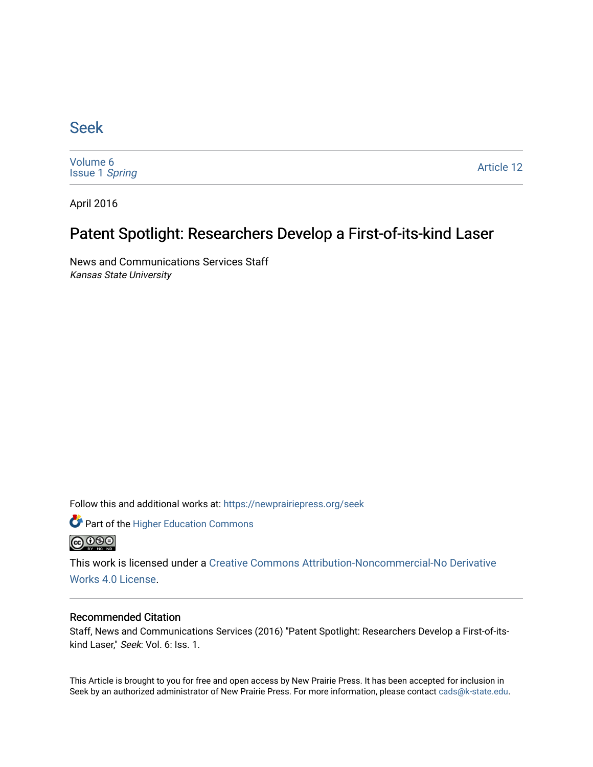### [Seek](https://newprairiepress.org/seek)

[Volume 6](https://newprairiepress.org/seek/vol6) [Issue 1](https://newprairiepress.org/seek/vol6/iss1) Spring

[Article 12](https://newprairiepress.org/seek/vol6/iss1/12) 

April 2016

## Patent Spotlight: Researchers Develop a First-of-its-kind Laser

News and Communications Services Staff Kansas State University

Follow this and additional works at: [https://newprairiepress.org/seek](https://newprairiepress.org/seek?utm_source=newprairiepress.org%2Fseek%2Fvol6%2Fiss1%2F12&utm_medium=PDF&utm_campaign=PDFCoverPages)

Part of the [Higher Education Commons](http://network.bepress.com/hgg/discipline/1245?utm_source=newprairiepress.org%2Fseek%2Fvol6%2Fiss1%2F12&utm_medium=PDF&utm_campaign=PDFCoverPages) 



This work is licensed under a [Creative Commons Attribution-Noncommercial-No Derivative](https://creativecommons.org/licenses/by-nc-nd/4.0/)  [Works 4.0 License](https://creativecommons.org/licenses/by-nc-nd/4.0/).

#### Recommended Citation

Staff, News and Communications Services (2016) "Patent Spotlight: Researchers Develop a First-of-itskind Laser," Seek: Vol. 6: Iss. 1.

This Article is brought to you for free and open access by New Prairie Press. It has been accepted for inclusion in Seek by an authorized administrator of New Prairie Press. For more information, please contact [cads@k-state.edu](mailto:cads@k-state.edu).